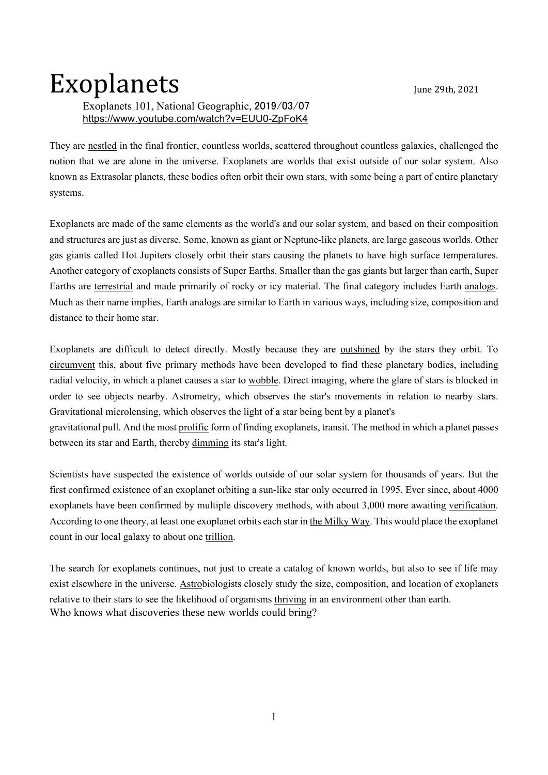## Exoplanets June 29th, 2021

## Exoplanets 101, National Geographic, 2019/03/07 https://www.youtube.com/watch?v=EUU0-ZpFoK4

They are nestled in the final frontier, countless worlds, scattered throughout countless galaxies, challenged the notion that we are alone in the universe. Exoplanets are worlds that exist outside of our solar system. Also known as Extrasolar planets, these bodies often orbit their own stars, with some being a part of entire planetary systems.

Exoplanets are made of the same elements as the world's and our solar system, and based on their composition and structures are just as diverse. Some, known as giant or Neptune-like planets, are large gaseous worlds. Other gas giants called Hot Jupiters closely orbit their stars causing the planets to have high surface temperatures. Another category of exoplanets consists of Super Earths. Smaller than the gas giants but larger than earth, Super Earths are terrestrial and made primarily of rocky or icy material. The final category includes Earth analogs. Much as their name implies, Earth analogs are similar to Earth in various ways, including size, composition and distance to their home star.

Exoplanets are difficult to detect directly. Mostly because they are outshined by the stars they orbit. To circumvent this, about five primary methods have been developed to find these planetary bodies, including radial velocity, in which a planet causes a star to wobble. Direct imaging, where the glare of stars is blocked in order to see objects nearby. Astrometry, which observes the star's movements in relation to nearby stars. Gravitational microlensing, which observes the light of a star being bent by a planet's

gravitational pull. And the most prolific form of finding exoplanets, transit. The method in which a planet passes between its star and Earth, thereby dimming its star's light.

Scientists have suspected the existence of worlds outside of our solar system for thousands of years. But the first confirmed existence of an exoplanet orbiting a sun-like star only occurred in 1995. Ever since, about 4000 exoplanets have been confirmed by multiple discovery methods, with about 3,000 more awaiting verification. According to one theory, at least one exoplanet orbits each star in the Milky Way. This would place the exoplanet count in our local galaxy to about one trillion.

The search for exoplanets continues, not just to create a catalog of known worlds, but also to see if life may exist elsewhere in the universe. Astrobiologists closely study the size, composition, and location of exoplanets relative to their stars to see the likelihood of organisms thriving in an environment other than earth. Who knows what discoveries these new worlds could bring?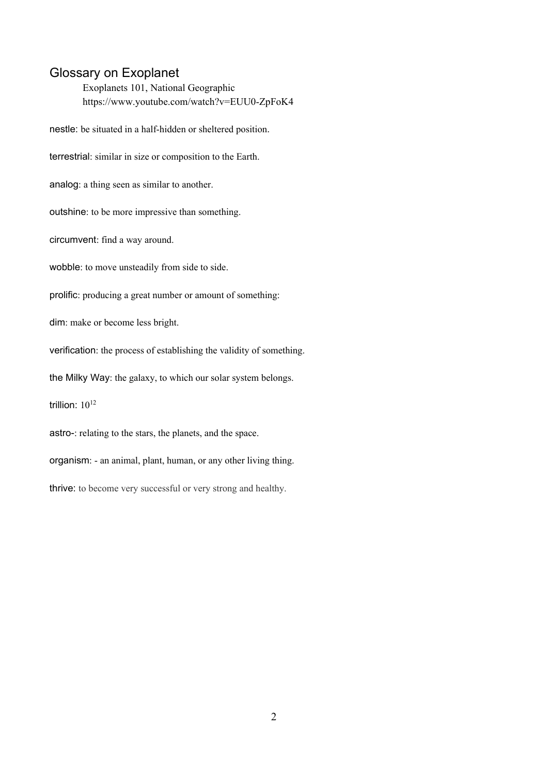## Glossary on Exoplanet

Exoplanets 101, National Geographic https://www.youtube.com/watch?v=EUU0-ZpFoK4

nestle: be situated in a half-hidden or sheltered position. terrestrial: similar in size or composition to the Earth. analog: a thing seen as similar to another. outshine: to be more impressive than something. circumvent: find a way around. wobble: to move unsteadily from side to side. prolific: producing a great number or amount of something: dim: make or become less bright. verification: the process of establishing the validity of something. the Milky Way: the galaxy, to which our solar system belongs. trillion:  $10^{12}$ astro-: relating to the stars, the planets, and the space. organism: - an animal, plant, human, or any other living thing. thrive: to become very successful or very strong and healthy.